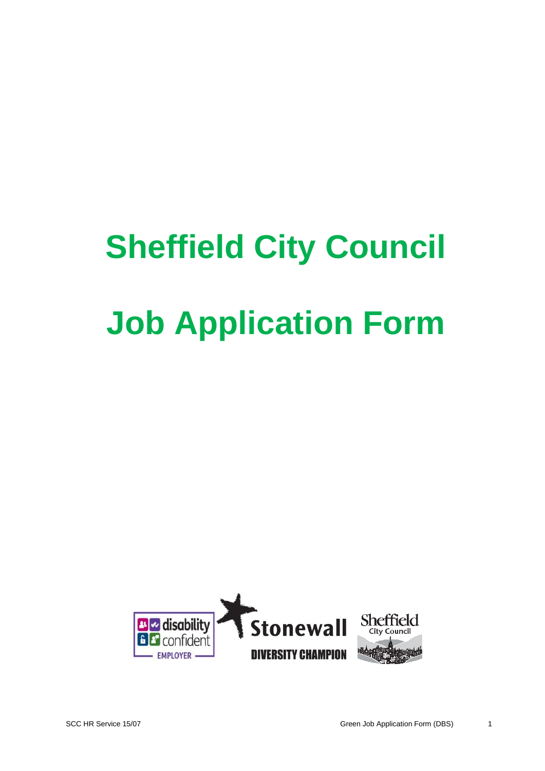# **Sheffield City Council Job Application Form**

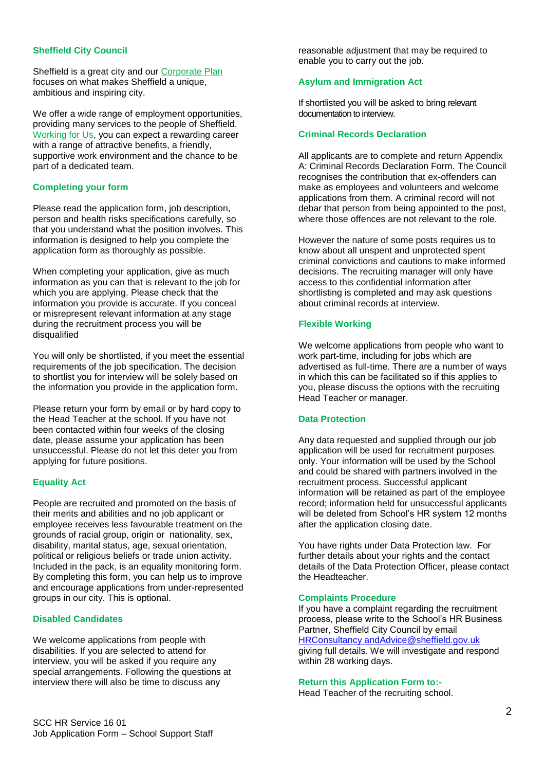#### **Sheffield City Council**

Sheffield is a great city and our [Corporate Plan](https://www.sheffield.gov.uk/your-city-council/policy--performance/what-we-want-to-achieve/corporate-plan.html) focuses on what makes Sheffield a unique, ambitious and inspiring city.

We offer a wide range of employment opportunities, providing many services to the people of Sheffield. [Working for Us,](https://www.sheffield.gov.uk/whats-new/job-vacancies/working-for-us.html) you can expect a rewarding career with a range of attractive benefits, a friendly, supportive work environment and the chance to be part of a dedicated team.

#### **Completing your form**

Please read the application form, job description, person and health risks specifications carefully, so that you understand what the position involves. This information is designed to help you complete the application form as thoroughly as possible.

When completing your application, give as much information as you can that is relevant to the job for which you are applying. Please check that the information you provide is accurate. If you conceal or misrepresent relevant information at any stage during the recruitment process you will be disqualified

You will only be shortlisted, if you meet the essential requirements of the job specification. The decision to shortlist you for interview will be solely based on the information you provide in the application form.

Please return your form by email or by hard copy to the Head Teacher at the school. If you have not been contacted within four weeks of the closing date, please assume your application has been unsuccessful. Please do not let this deter you from applying for future positions.

### **Equality Act**

People are recruited and promoted on the basis of their merits and abilities and no job applicant or employee receives less favourable treatment on the grounds of racial group, origin or nationality, sex, disability, marital status, age, sexual orientation, political or religious beliefs or trade union activity. Included in the pack, is an equality monitoring form. By completing this form, you can help us to improve and encourage applications from under-represented groups in our city. This is optional.

#### **Disabled Candidates**

We welcome applications from people with disabilities. If you are selected to attend for interview, you will be asked if you require any special arrangements. Following the questions at interview there will also be time to discuss any

reasonable adjustment that may be required to enable you to carry out the job.

#### **Asylum and Immigration Act**

If shortlisted you will be asked to bring relevant documentation to interview.

#### **Criminal Records Declaration**

All applicants are to complete and return Appendix A: Criminal Records Declaration Form. The Council recognises the contribution that ex-offenders can make as employees and volunteers and welcome applications from them. A criminal record will not debar that person from being appointed to the post, where those offences are not relevant to the role.

However the nature of some posts requires us to know about all unspent and unprotected spent criminal convictions and cautions to make informed decisions. The recruiting manager will only have access to this confidential information after shortlisting is completed and may ask questions about criminal records at interview.

#### **Flexible Working**

We welcome applications from people who want to work part-time, including for jobs which are advertised as full-time. There are a number of ways in which this can be facilitated so if this applies to you, please discuss the options with the recruiting Head Teacher or manager.

#### **Data Protection**

Any data requested and supplied through our job application will be used for recruitment purposes only. Your information will be used by the School and could be shared with partners involved in the recruitment process. Successful applicant information will be retained as part of the employee record; information held for unsuccessful applicants will be deleted from School's HR system 12 months after the application closing date.

You have rights under Data Protection law. For further details about your rights and the contact details of the Data Protection Officer, please contact the Headteacher.

#### **Complaints Procedure**

If you have a complaint regarding the recruitment process, please write to the School's HR Business Partner, Sheffield City Council by email [HRConsultancy andAdvice@sheffield.gov.uk](https://myteam.sheffield.gov.uk/HRPoint/MasterTemplates/HRConsultancy%20andAdvice@sheffield.gov.uk) giving full details. We will investigate and respond within 28 working days.

#### **Return this Application Form to:-**

Head Teacher of the recruiting school.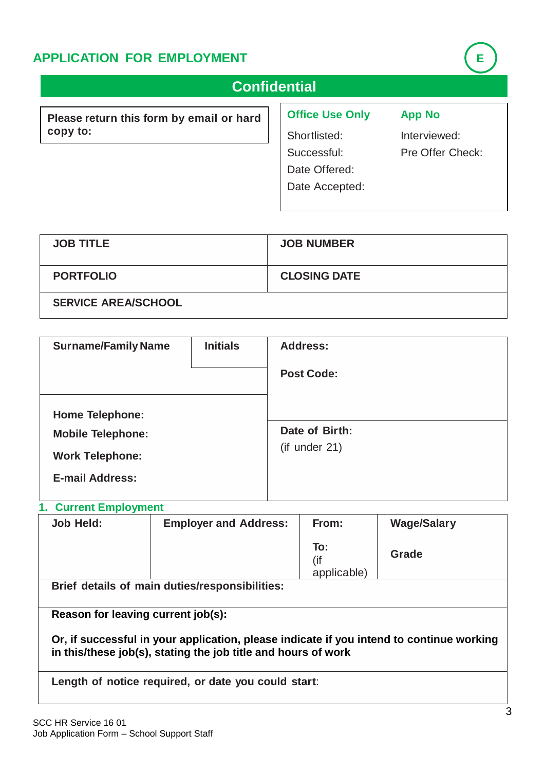# **APPLICATION FOR EMPLOYMENT E**

| <b>Confidential</b>                      |                        |                  |
|------------------------------------------|------------------------|------------------|
| Please return this form by email or hard | <b>Office Use Only</b> | <b>App No</b>    |
| copy to:                                 | Shortlisted:           | Interviewed:     |
|                                          | Successful:            | Pre Offer Check: |
|                                          | Date Offered:          |                  |
|                                          | Date Accepted:         |                  |
|                                          |                        |                  |

| <b>JOB TITLE</b>           | <b>JOB NUMBER</b>   |
|----------------------------|---------------------|
| <b>PORTFOLIO</b>           | <b>CLOSING DATE</b> |
| <b>SERVICE AREA/SCHOOL</b> |                     |

| <b>Surname/Family Name</b> | <b>Initials</b> | <b>Address:</b>   |
|----------------------------|-----------------|-------------------|
|                            |                 | <b>Post Code:</b> |
| <b>Home Telephone:</b>     |                 |                   |
| <b>Mobile Telephone:</b>   |                 | Date of Birth:    |
| <b>Work Telephone:</b>     |                 | (if under 21)     |
| <b>E-mail Address:</b>     |                 |                   |

## **1. Current Employment**

| Job Held: | <b>Employer and Address:</b>                   | From:                     | <b>Wage/Salary</b> |
|-----------|------------------------------------------------|---------------------------|--------------------|
|           |                                                | To:<br>(if<br>applicable) | Grade              |
|           | Brief details of main duties/responsibilities: |                           |                    |

**Reason for leaving current job(s):**

**Or, if successful in your application, please indicate if you intend to continue working in this/these job(s), stating the job title and hours of work**

**Length of notice required, or date you could start**: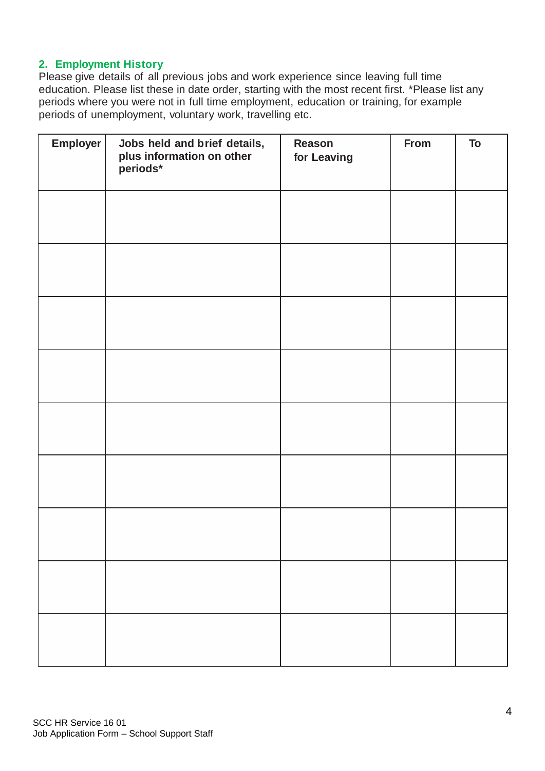## **2. Employment History**

Please give details of all previous jobs and work experience since leaving full time education. Please list these in date order, starting with the most recent first. \*Please list any periods where you were not in full time employment, education or training, for example periods of unemployment, voluntary work, travelling etc.

| Employer | Jobs held and brief details,<br>plus information on other<br>periods* | <b>Reason</b><br>for Leaving | From | To |
|----------|-----------------------------------------------------------------------|------------------------------|------|----|
|          |                                                                       |                              |      |    |
|          |                                                                       |                              |      |    |
|          |                                                                       |                              |      |    |
|          |                                                                       |                              |      |    |
|          |                                                                       |                              |      |    |
|          |                                                                       |                              |      |    |
|          |                                                                       |                              |      |    |
|          |                                                                       |                              |      |    |
|          |                                                                       |                              |      |    |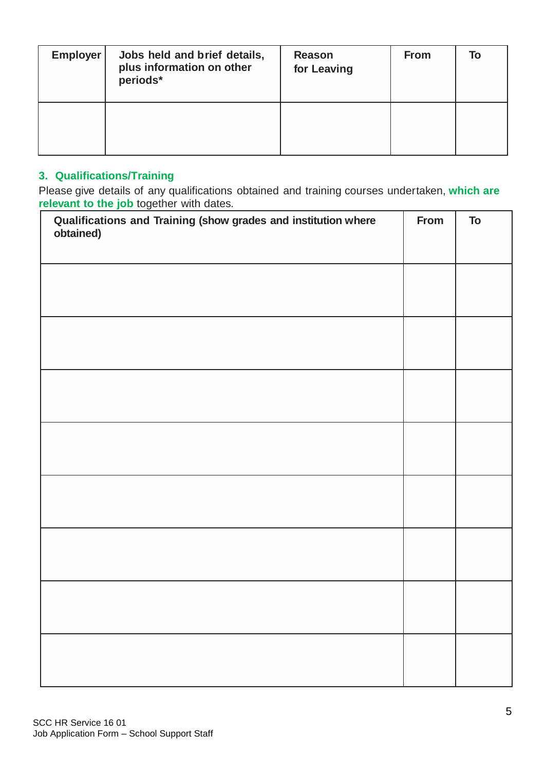| <b>Employer</b> | Jobs held and brief details,<br>plus information on other<br>periods* | Reason<br>for Leaving | <b>From</b> | To |
|-----------------|-----------------------------------------------------------------------|-----------------------|-------------|----|
|                 |                                                                       |                       |             |    |

## **3. Qualifications/Training**

Please give details of any qualifications obtained and training courses undertaken, **which are relevant to the job** together with dates.

| Qualifications and Training (show grades and institution where<br>obtained) | From | To |
|-----------------------------------------------------------------------------|------|----|
|                                                                             |      |    |
|                                                                             |      |    |
|                                                                             |      |    |
|                                                                             |      |    |
|                                                                             |      |    |
|                                                                             |      |    |
|                                                                             |      |    |
|                                                                             |      |    |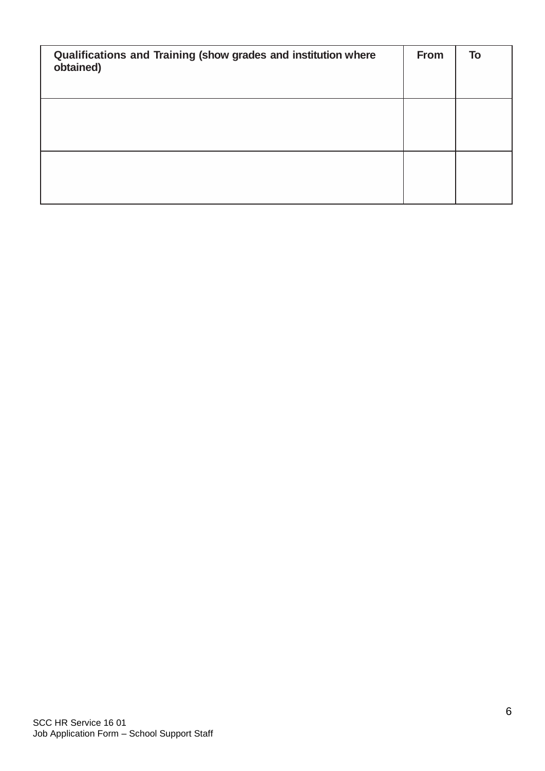| Qualifications and Training (show grades and institution where<br>obtained) | From | To |
|-----------------------------------------------------------------------------|------|----|
|                                                                             |      |    |
|                                                                             |      |    |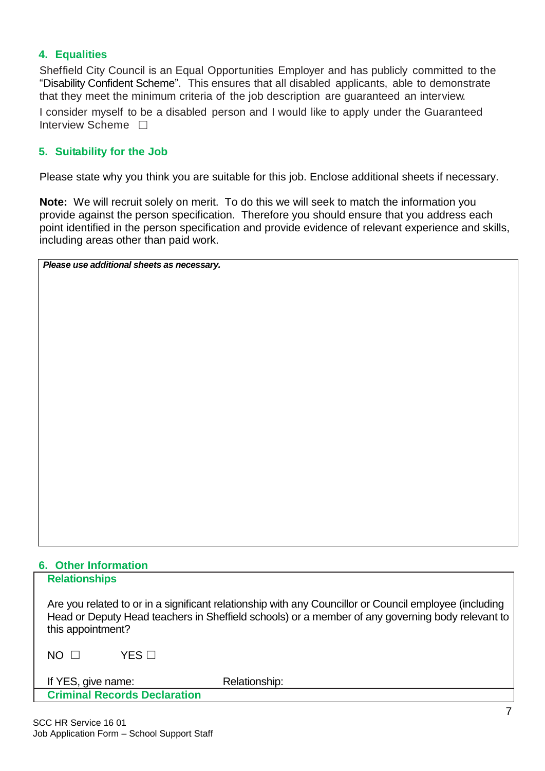## **4. Equalities**

Sheffield City Council is an Equal Opportunities Employer and has publicly committed to the "Disability Confident Scheme". This ensures that all disabled applicants, able to demonstrate that they meet the minimum criteria of the job description are guaranteed an interview. I consider myself to be a disabled person and I would like to apply under the Guaranteed Interview Scheme <del>□</del>

## **5. Suitability for the Job**

Please state why you think you are suitable for this job. Enclose additional sheets if necessary.

**Note:** We will recruit solely on merit. To do this we will seek to match the information you provide against the person specification. Therefore you should ensure that you address each point identified in the person specification and provide evidence of relevant experience and skills, including areas other than paid work.

*Please use additional sheets as necessary.*

# **6. Other Information**

| <b>Relationships</b>                |                                                                                                                                                                                                            |  |
|-------------------------------------|------------------------------------------------------------------------------------------------------------------------------------------------------------------------------------------------------------|--|
| this appointment?                   | Are you related to or in a significant relationship with any Councillor or Council employee (including<br>Head or Deputy Head teachers in Sheffield schools) or a member of any governing body relevant to |  |
| YFS ⊟<br>$NO \Box$                  |                                                                                                                                                                                                            |  |
| If YES, give name:                  | Relationship:                                                                                                                                                                                              |  |
| <b>Criminal Records Declaration</b> |                                                                                                                                                                                                            |  |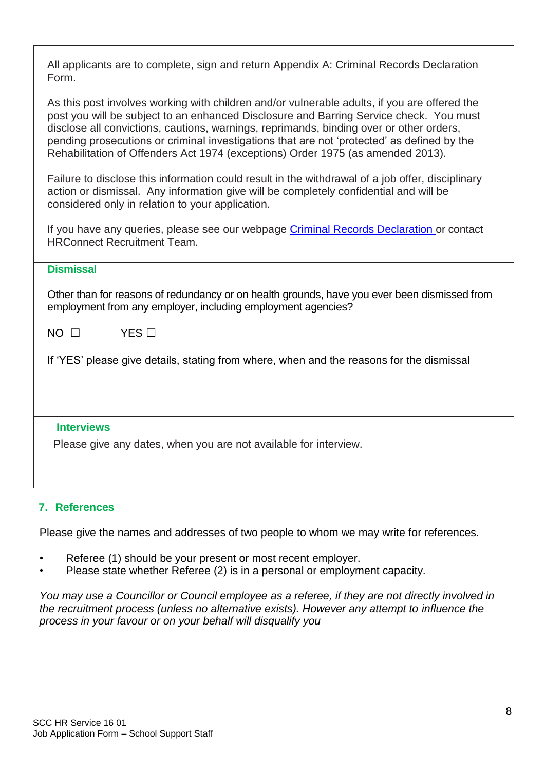| All applicants are to complete, sign and return Appendix A: Criminal Records Declaration |  |
|------------------------------------------------------------------------------------------|--|
| Form.                                                                                    |  |

As this post involves working with children and/or vulnerable adults, if you are offered the post you will be subject to an enhanced Disclosure and Barring Service check. You must disclose all convictions, cautions, warnings, reprimands, binding over or other orders, pending prosecutions or criminal investigations that are not 'protected' as defined by the Rehabilitation of Offenders Act 1974 (exceptions) Order 1975 (as amended 2013).

Failure to disclose this information could result in the withdrawal of a job offer, disciplinary action or dismissal. Any information give will be completely confidential and will be considered only in relation to your application.

If you have any queries, please see our webpage [Criminal Records Declaration](https://www.sheffield.gov.uk/whats-new/job-vacancies/working-for-us/dbs/declaration.html) or contact HRConnect Recruitment Team.

| різіні ээді |                                                                                                                                                              |
|-------------|--------------------------------------------------------------------------------------------------------------------------------------------------------------|
|             | Other than for reasons of redundancy or on health grounds, have you ever been dismissed from<br>employment from any employer, including employment agencies? |
| $NO$ $\Box$ | $YFS \square$                                                                                                                                                |
|             | If 'YES' please give details, stating from where, when and the reasons for the dismissal                                                                     |

## **Interviews**

**Dismissal**

Please give any dates, when you are not available for interview.

## **7. References**

Please give the names and addresses of two people to whom we may write for references.

- Referee (1) should be your present or most recent employer.
- Please state whether Referee (2) is in a personal or employment capacity.

*You may use a Councillor or Council employee as a referee, if they are not directly involved in the recruitment process (unless no alternative exists). However any attempt to influence the process in your favour or on your behalf will disqualify you*